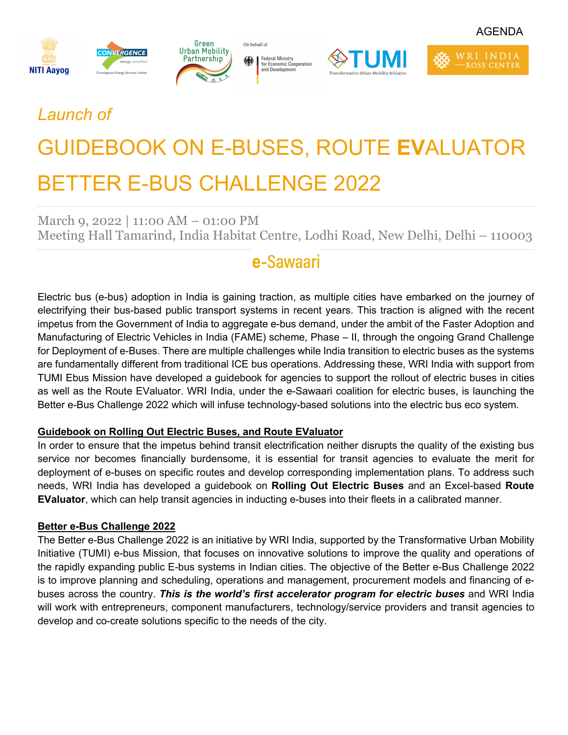



Federal Ministry<br>for Economic Cooperation<br>and Development ※ |

On behalf of



WRI INDIA

ROSS CENTER

## *Launch of*

# GUIDEBOOK ON E-BUSES, ROUTE **EV**ALUATOR BETTER E-BUS CHALLENGE 2022

March 9, 2022 | 11:00 AM – 01:00 PM Meeting Hall Tamarind, India Habitat Centre, Lodhi Road, New Delhi, Delhi – 110003

## e-Sawaari

Electric bus (e-bus) adoption in India is gaining traction, as multiple cities have embarked on the journey of electrifying their bus-based public transport systems in recent years. This traction is aligned with the recent impetus from the Government of India to aggregate e-bus demand, under the ambit of the Faster Adoption and Manufacturing of Electric Vehicles in India (FAME) scheme, Phase – II, through the ongoing Grand Challenge for Deployment of e-Buses. There are multiple challenges while India transition to electric buses as the systems are fundamentally different from traditional ICE bus operations. Addressing these, WRI India with support from TUMI Ebus Mission have developed a guidebook for agencies to support the rollout of electric buses in cities as well as the Route EValuator. WRI India, under the e-Sawaari coalition for electric buses, is launching the Better e-Bus Challenge 2022 which will infuse technology-based solutions into the electric bus eco system.

#### **Guidebook on Rolling Out Electric Buses, and Route EValuator**

In order to ensure that the impetus behind transit electrification neither disrupts the quality of the existing bus service nor becomes financially burdensome, it is essential for transit agencies to evaluate the merit for deployment of e-buses on specific routes and develop corresponding implementation plans. To address such needs, WRI India has developed a guidebook on **Rolling Out Electric Buses** and an Excel-based **Route EValuator**, which can help transit agencies in inducting e-buses into their fleets in a calibrated manner.

#### **Better e-Bus Challenge 2022**

The Better e-Bus Challenge 2022 is an initiative by WRI India, supported by the Transformative Urban Mobility Initiative (TUMI) e-bus Mission, that focuses on innovative solutions to improve the quality and operations of the rapidly expanding public E-bus systems in Indian cities. The objective of the Better e-Bus Challenge 2022 is to improve planning and scheduling, operations and management, procurement models and financing of ebuses across the country. *This is the world's first accelerator program for electric buses* and WRI India will work with entrepreneurs, component manufacturers, technology/service providers and transit agencies to develop and co-create solutions specific to the needs of the city.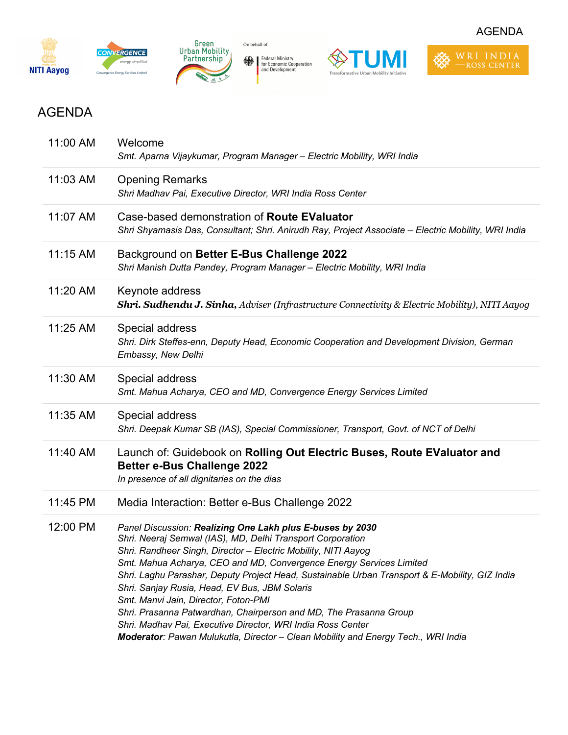



Federal Ministry<br>for Economic Cooperation<br>and Development

On behalf of  $% \left\vert \cdot \right\rangle$ 





AGENDA

### AGENDA

| 11:03 AM<br><b>Opening Remarks</b><br>Shri Madhav Pai, Executive Director, WRI India Ross Center<br>Case-based demonstration of Route EValuator<br>11:07 AM<br>Shri Shyamasis Das, Consultant; Shri. Anirudh Ray, Project Associate - Electric Mobility, WRI India<br>11:15 AM<br>Background on Better E-Bus Challenge 2022<br>Shri Manish Dutta Pandey, Program Manager - Electric Mobility, WRI India<br>11:20 AM<br>Keynote address<br><b>Shri. Sudhendu J. Sinha,</b> Adviser (Infrastructure Connectivity & Electric Mobility), NITI Aayog<br>11:25 AM<br>Special address<br>Shri. Dirk Steffes-enn, Deputy Head, Economic Cooperation and Development Division, German<br>Embassy, New Delhi<br>11:30 AM<br>Special address<br>Smt. Mahua Acharya, CEO and MD, Convergence Energy Services Limited<br>11:35 AM<br>Special address<br>Shri. Deepak Kumar SB (IAS), Special Commissioner, Transport, Govt. of NCT of Delhi<br>11:40 AM<br>Launch of: Guidebook on Rolling Out Electric Buses, Route EValuator and<br><b>Better e-Bus Challenge 2022</b><br>In presence of all dignitaries on the dias<br>11:45 PM<br>Media Interaction: Better e-Bus Challenge 2022<br>12:00 PM<br>Panel Discussion: Realizing One Lakh plus E-buses by 2030<br>Shri. Neeraj Semwal (IAS), MD, Delhi Transport Corporation<br>Shri. Randheer Singh, Director - Electric Mobility, NITI Aayog<br>Smt. Mahua Acharya, CEO and MD, Convergence Energy Services Limited<br>Shri. Laghu Parashar, Deputy Project Head, Sustainable Urban Transport & E-Mobility, GIZ India<br>Shri. Sanjay Rusia, Head, EV Bus, JBM Solaris<br>Smt. Manvi Jain, Director, Foton-PMI<br>Shri. Prasanna Patwardhan, Chairperson and MD, The Prasanna Group<br>Shri. Madhav Pai, Executive Director, WRI India Ross Center<br>Moderator: Pawan Mulukutla, Director - Clean Mobility and Energy Tech., WRI India | 11:00 AM | Welcome<br>Smt. Aparna Vijaykumar, Program Manager - Electric Mobility, WRI India |
|-----------------------------------------------------------------------------------------------------------------------------------------------------------------------------------------------------------------------------------------------------------------------------------------------------------------------------------------------------------------------------------------------------------------------------------------------------------------------------------------------------------------------------------------------------------------------------------------------------------------------------------------------------------------------------------------------------------------------------------------------------------------------------------------------------------------------------------------------------------------------------------------------------------------------------------------------------------------------------------------------------------------------------------------------------------------------------------------------------------------------------------------------------------------------------------------------------------------------------------------------------------------------------------------------------------------------------------------------------------------------------------------------------------------------------------------------------------------------------------------------------------------------------------------------------------------------------------------------------------------------------------------------------------------------------------------------------------------------------------------------------------------------------------------------------------------------------------------------------------------------------|----------|-----------------------------------------------------------------------------------|
|                                                                                                                                                                                                                                                                                                                                                                                                                                                                                                                                                                                                                                                                                                                                                                                                                                                                                                                                                                                                                                                                                                                                                                                                                                                                                                                                                                                                                                                                                                                                                                                                                                                                                                                                                                                                                                                                             |          |                                                                                   |
|                                                                                                                                                                                                                                                                                                                                                                                                                                                                                                                                                                                                                                                                                                                                                                                                                                                                                                                                                                                                                                                                                                                                                                                                                                                                                                                                                                                                                                                                                                                                                                                                                                                                                                                                                                                                                                                                             |          |                                                                                   |
|                                                                                                                                                                                                                                                                                                                                                                                                                                                                                                                                                                                                                                                                                                                                                                                                                                                                                                                                                                                                                                                                                                                                                                                                                                                                                                                                                                                                                                                                                                                                                                                                                                                                                                                                                                                                                                                                             |          |                                                                                   |
|                                                                                                                                                                                                                                                                                                                                                                                                                                                                                                                                                                                                                                                                                                                                                                                                                                                                                                                                                                                                                                                                                                                                                                                                                                                                                                                                                                                                                                                                                                                                                                                                                                                                                                                                                                                                                                                                             |          |                                                                                   |
|                                                                                                                                                                                                                                                                                                                                                                                                                                                                                                                                                                                                                                                                                                                                                                                                                                                                                                                                                                                                                                                                                                                                                                                                                                                                                                                                                                                                                                                                                                                                                                                                                                                                                                                                                                                                                                                                             |          |                                                                                   |
|                                                                                                                                                                                                                                                                                                                                                                                                                                                                                                                                                                                                                                                                                                                                                                                                                                                                                                                                                                                                                                                                                                                                                                                                                                                                                                                                                                                                                                                                                                                                                                                                                                                                                                                                                                                                                                                                             |          |                                                                                   |
|                                                                                                                                                                                                                                                                                                                                                                                                                                                                                                                                                                                                                                                                                                                                                                                                                                                                                                                                                                                                                                                                                                                                                                                                                                                                                                                                                                                                                                                                                                                                                                                                                                                                                                                                                                                                                                                                             |          |                                                                                   |
|                                                                                                                                                                                                                                                                                                                                                                                                                                                                                                                                                                                                                                                                                                                                                                                                                                                                                                                                                                                                                                                                                                                                                                                                                                                                                                                                                                                                                                                                                                                                                                                                                                                                                                                                                                                                                                                                             |          |                                                                                   |
|                                                                                                                                                                                                                                                                                                                                                                                                                                                                                                                                                                                                                                                                                                                                                                                                                                                                                                                                                                                                                                                                                                                                                                                                                                                                                                                                                                                                                                                                                                                                                                                                                                                                                                                                                                                                                                                                             |          |                                                                                   |
|                                                                                                                                                                                                                                                                                                                                                                                                                                                                                                                                                                                                                                                                                                                                                                                                                                                                                                                                                                                                                                                                                                                                                                                                                                                                                                                                                                                                                                                                                                                                                                                                                                                                                                                                                                                                                                                                             |          |                                                                                   |